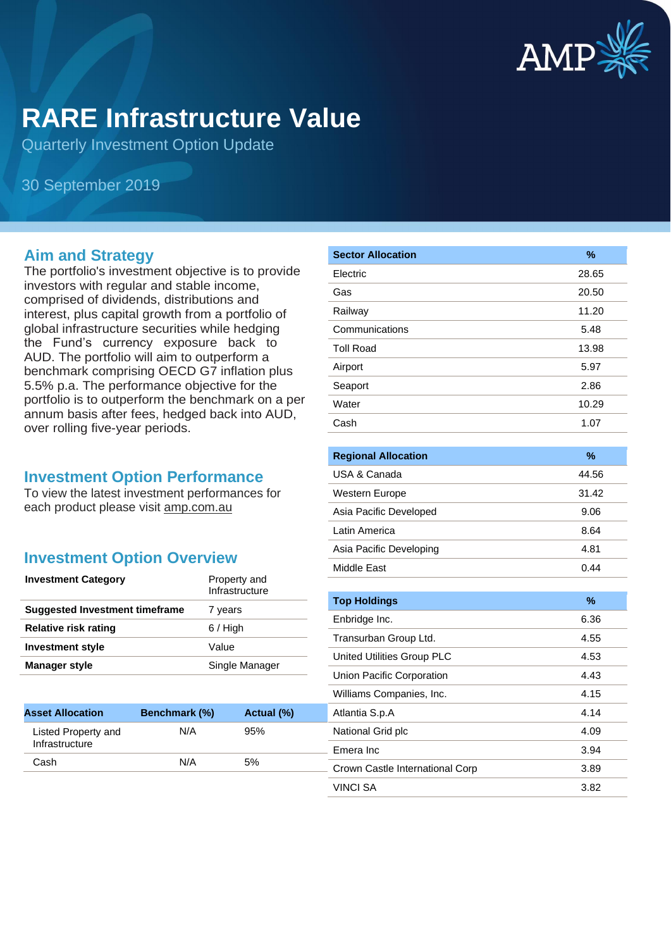

# **RARE Infrastructure Value**

Quarterly Investment Option Update

30 September 2019

### **Aim and Strategy**

The portfolio's investment objective is to provide investors with regular and stable income, comprised of dividends, distributions and interest, plus capital growth from a portfolio of global infrastructure securities while hedging the Fund's currency exposure back to AUD. The portfolio will aim to outperform a benchmark comprising OECD G7 inflation plus 5.5% p.a. The performance objective for the portfolio is to outperform the benchmark on a per annum basis after fees, hedged back into AUD, over rolling five-year periods.

#### **Investment Option Performance**

To view the latest investment performances for each product please visit amp.com.au

### **Investment Option Overview**

| <b>Investment Category</b>     | Property and<br>Infrastructure |
|--------------------------------|--------------------------------|
| Suggested Investment timeframe | 7 years                        |
| Relative risk rating           | $6/$ High                      |
| <b>Investment style</b>        | Value                          |
| <b>Manager style</b>           | Single Manager                 |

**Asset Allocation Benchmark (%) Actual (%)**

Cash N/A 5%

N/A 95%

Listed Property and **Infrastructure** 

| %     |
|-------|
| 28.65 |
| 20.50 |
| 11.20 |
| 5.48  |
| 13.98 |
| 5.97  |
| 2.86  |
| 10.29 |
| 1.07  |
|       |

| <b>Regional Allocation</b> | $\%$  |
|----------------------------|-------|
| USA & Canada               | 44.56 |
| Western Europe             | 31.42 |
| Asia Pacific Developed     | 9.06  |
| Latin America              | 8.64  |
| Asia Pacific Developing    | 4.81  |
| Middle Fast                | 0.44  |

| <b>Top Holdings</b>             | $\%$ |
|---------------------------------|------|
| Enbridge Inc.                   | 6.36 |
| Transurban Group Ltd.           | 4.55 |
| United Utilities Group PLC      | 4.53 |
| Union Pacific Corporation       | 4.43 |
| Williams Companies, Inc.        | 4.15 |
| Atlantia S.p.A                  | 4.14 |
| National Grid plc               | 4.09 |
| Emera Inc                       | 3.94 |
| Crown Castle International Corp | 3.89 |
| VINCI SA                        | 3.82 |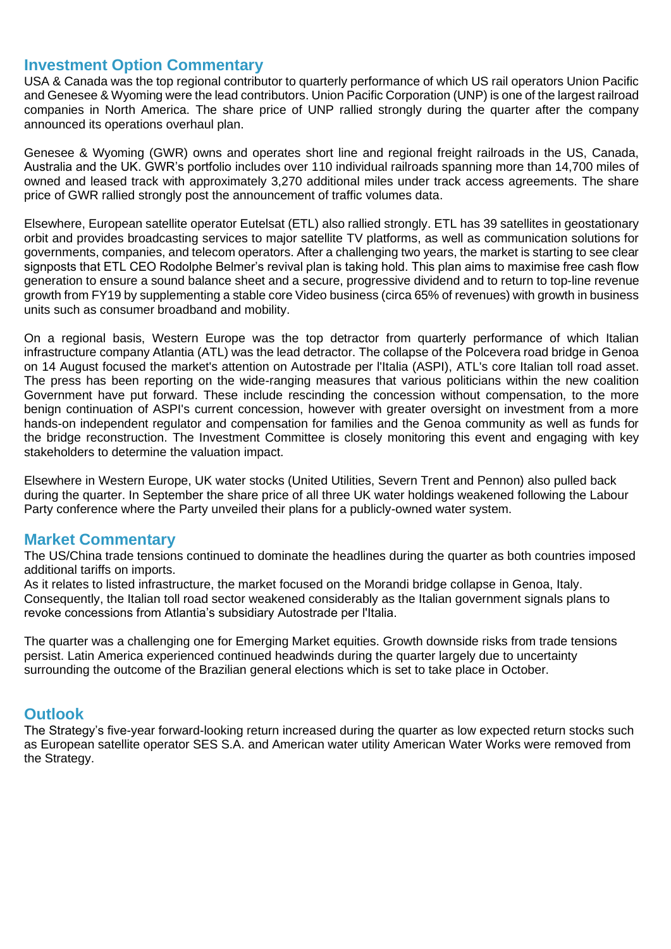#### **Investment Option Commentary**

USA & Canada was the top regional contributor to quarterly performance of which US rail operators Union Pacific and Genesee & Wyoming were the lead contributors. Union Pacific Corporation (UNP) is one of the largest railroad companies in North America. The share price of UNP rallied strongly during the quarter after the company announced its operations overhaul plan.

Genesee & Wyoming (GWR) owns and operates short line and regional freight railroads in the US, Canada, Australia and the UK. GWR's portfolio includes over 110 individual railroads spanning more than 14,700 miles of owned and leased track with approximately 3,270 additional miles under track access agreements. The share price of GWR rallied strongly post the announcement of traffic volumes data.

Elsewhere, European satellite operator Eutelsat (ETL) also rallied strongly. ETL has 39 satellites in geostationary orbit and provides broadcasting services to major satellite TV platforms, as well as communication solutions for governments, companies, and telecom operators. After a challenging two years, the market is starting to see clear signposts that ETL CEO Rodolphe Belmer's revival plan is taking hold. This plan aims to maximise free cash flow generation to ensure a sound balance sheet and a secure, progressive dividend and to return to top-line revenue growth from FY19 by supplementing a stable core Video business (circa 65% of revenues) with growth in business units such as consumer broadband and mobility.

On a regional basis, Western Europe was the top detractor from quarterly performance of which Italian infrastructure company Atlantia (ATL) was the lead detractor. The collapse of the Polcevera road bridge in Genoa on 14 August focused the market's attention on Autostrade per l'Italia (ASPI), ATL's core Italian toll road asset. The press has been reporting on the wide-ranging measures that various politicians within the new coalition Government have put forward. These include rescinding the concession without compensation, to the more benign continuation of ASPI's current concession, however with greater oversight on investment from a more hands-on independent regulator and compensation for families and the Genoa community as well as funds for the bridge reconstruction. The Investment Committee is closely monitoring this event and engaging with key stakeholders to determine the valuation impact.

Elsewhere in Western Europe, UK water stocks (United Utilities, Severn Trent and Pennon) also pulled back during the quarter. In September the share price of all three UK water holdings weakened following the Labour Party conference where the Party unveiled their plans for a publicly-owned water system.

### **Market Commentary**

The US/China trade tensions continued to dominate the headlines during the quarter as both countries imposed additional tariffs on imports.

As it relates to listed infrastructure, the market focused on the Morandi bridge collapse in Genoa, Italy. Consequently, the Italian toll road sector weakened considerably as the Italian government signals plans to revoke concessions from Atlantia's subsidiary Autostrade per l'Italia.

The quarter was a challenging one for Emerging Market equities. Growth downside risks from trade tensions persist. Latin America experienced continued headwinds during the quarter largely due to uncertainty surrounding the outcome of the Brazilian general elections which is set to take place in October.

#### **Outlook**

The Strategy's five-year forward-looking return increased during the quarter as low expected return stocks such as European satellite operator SES S.A. and American water utility American Water Works were removed from the Strategy.